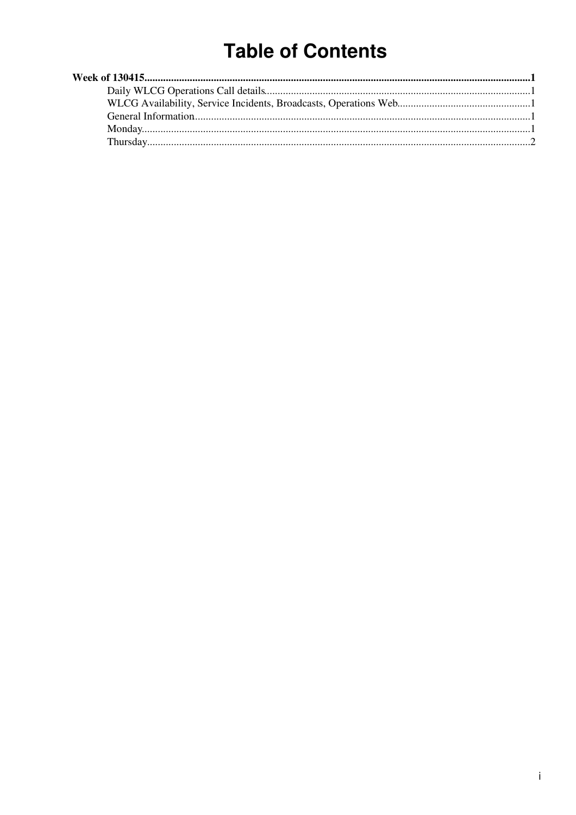# **Table of Contents**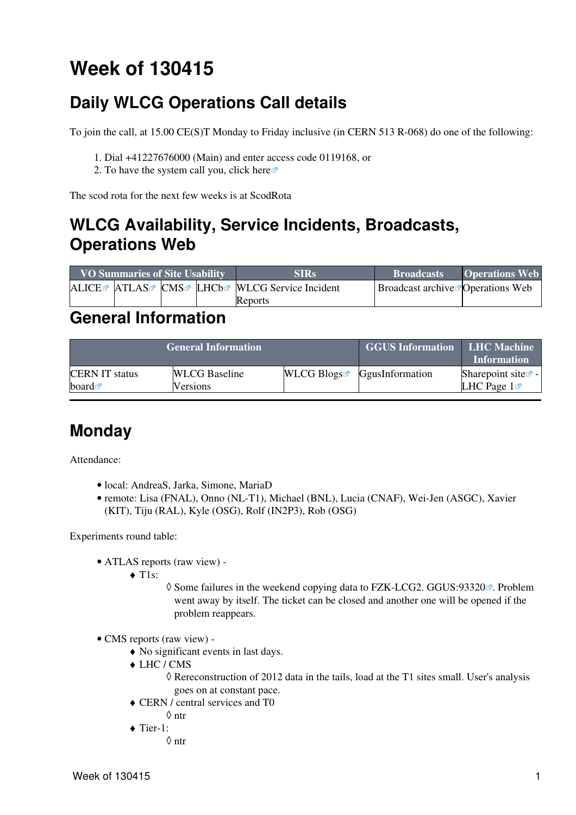# <span id="page-1-0"></span>**Week of 130415**

## <span id="page-1-1"></span>**Daily WLCG Operations Call details**

To join the call, at 15.00 CE(S)T Monday to Friday inclusive (in CERN 513 R-068) do one of the following:

- 1. Dial +41227676000 (Main) and enter access code 0119168, or
- 2. To have the system call you, click [here](https://audioconf.cern.ch/call/0119168) $\Phi$

The scod rota for the next few weeks is at [ScodRota](https://twiki.cern.ch/twiki/bin/view/LCG/ScodRota)

### <span id="page-1-2"></span>**WLCG Availability, Service Incidents, Broadcasts, Operations Web**

| <b>VO Summaries of Site Usability</b> |  |  | <b>SIRs</b>                                             | <b>Broadcasts</b>                             | <b>Operations Web</b> |
|---------------------------------------|--|--|---------------------------------------------------------|-----------------------------------------------|-----------------------|
|                                       |  |  | ALICE ATLAS CMS LHCb <sup>R</sup> WLCG Service Incident | Broadcast archive <sup>s</sup> Operations Web |                       |
|                                       |  |  | Reports                                                 |                                               |                       |

### <span id="page-1-3"></span>**General Information**

|                       | <b>General Information</b> | <b>GGUS Information</b> LHC Machine | <b>Information</b>                        |                                |
|-----------------------|----------------------------|-------------------------------------|-------------------------------------------|--------------------------------|
| <b>CERN IT status</b> | <b>WLCG</b> Baseline       |                                     | $WLCG$ Blogs <sup>R</sup> GgusInformation | Sharepoint site $\mathbb{F}$ - |
| board $\blacksquare$  | Versions                   |                                     |                                           | LHC Page $1\blacksquare$       |

### <span id="page-1-4"></span>**Monday**

Attendance:

- local: AndreaS, Jarka, Simone, MariaD
- remote: Lisa (FNAL), Onno (NL-T1), Michael (BNL), Lucia (CNAF), Wei-Jen (ASGC), Xavier (KIT), Tiju (RAL), Kyle (OSG), Rolf (IN2P3), Rob (OSG)

Experiments round table:

- ATLAS [reports](https://twiki.cern.ch/twiki/bin/view/Atlas/ADCOperationsDailyReports2013) [\(raw view\)](https://twiki.cern.ch/twiki/bin/view/Atlas/ADCOperationsDailyReports2013?raw=on) •
	- ◆ T1s:
		- ◊ Some failures in the weekend copying data to FZK-LCG2. [GGUS:93320](https://ggus.eu/ws/ticket_info.php?ticket=93320) . Problem went away by itself. The ticket can be closed and another one will be opened if the problem reappears.
- CMS [reports](https://twiki.cern.ch/twiki/bin/view/CMS/FacOps_WLCGdailyreports) ([raw view\)](https://twiki.cern.ch/twiki/bin/view/CMS/FacOps_WLCGdailyreports?raw=on) •
	- ♦ No significant events in last days.
	- LHC / CMS ♦
		- Rereconstruction of 2012 data in the tails, load at the T1 sites small. User's analysis ◊ goes on at constant pace.
	- CERN / central services and T0 ♦ ◊ ntr
		-
	- ◆ Tier-1: ◊ ntr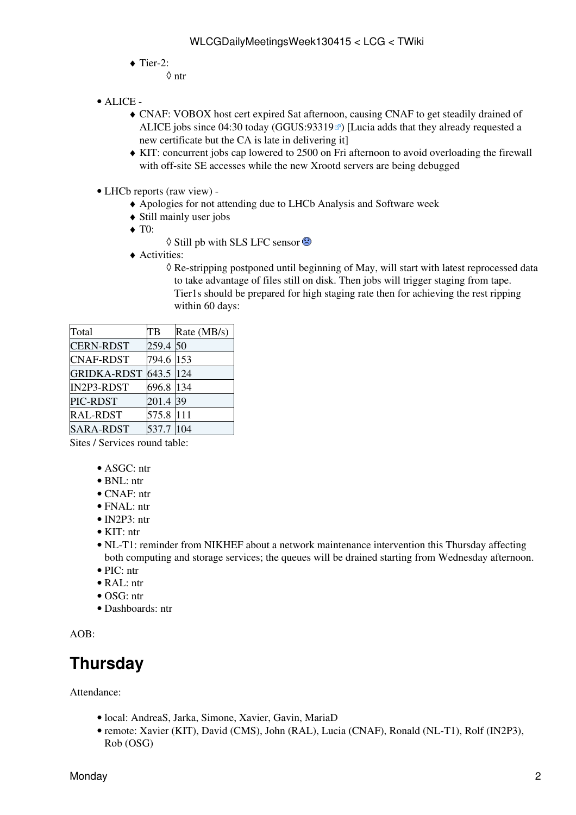$\blacklozenge$  Tier-2:

◊ ntr

- ALICE •
	- CNAF: VOBOX host cert expired Sat afternoon, causing CNAF to get steadily drained of ♦ ALICE jobs since  $04:30$  today (GGUS:  $93319$ <sup> $\circ$ </sup>) [Lucia adds that they already requested a new certificate but the CA is late in delivering it]
	- KIT: concurrent jobs cap lowered to 2500 on Fri afternoon to avoid overloading the firewall ♦ with off-site SE accesses while the new Xrootd servers are being debugged
- LHCb [reports](https://twiki.cern.ch/twiki/bin/view/LHCb/ProductionOperationsWLCGdailyReports) [\(raw view\)](https://twiki.cern.ch/twiki/bin/view/LHCb/ProductionOperationsWLCGdailyReports?raw=on) •
	- ♦ Apologies for not attending due to LHCb Analysis and Software week
	- ♦ Still mainly user jobs
	- ◆ T<sub>0</sub>:
		- ◊ Still pb with SLS LFC sensor
	- Activities: ♦
		- ◊ Re-stripping postponed until beginning of May, will start with latest reprocessed data to take advantage of files still on disk. Then jobs will trigger staging from tape. Tier1s should be prepared for high staging rate then for achieving the rest ripping within 60 days:

| Total              | TB        | Rate (MB/s) |
|--------------------|-----------|-------------|
| <b>CERN-RDST</b>   | 259.4 50  |             |
| <b>CNAF-RDST</b>   | 794.6 153 |             |
| <b>GRIDKA-RDST</b> | 643.5 124 |             |
| IN2P3-RDST         | 696.8 134 |             |
| PIC-RDST           | 201.4 39  |             |
| <b>RAL-RDST</b>    | 575.8     | 111         |
| <b>SARA-RDST</b>   | 537.7     |             |

Sites / Services round table:

- ASGC: ntr
- BNL: ntr
- CNAF: ntr
- FNAL: ntr
- IN2P3: ntr
- KIT: ntr
- NL-T1: reminder from NIKHEF about a network maintenance intervention this Thursday affecting both computing and storage services; the queues will be drained starting from Wednesday afternoon.
- PIC: ntr
- RAL: ntr
- OSG: ntr
- Dashboards: ntr

AOB:

## <span id="page-2-0"></span>**Thursday**

Attendance:

- local: AndreaS, Jarka, Simone, Xavier, Gavin, MariaD
- remote: Xavier (KIT), David (CMS), John [\(RAL](https://twiki.cern.ch/twiki/bin/view/LCG/RAL)), Lucia (CNAF), Ronald (NL-T1), Rolf (IN2P3), Rob (OSG)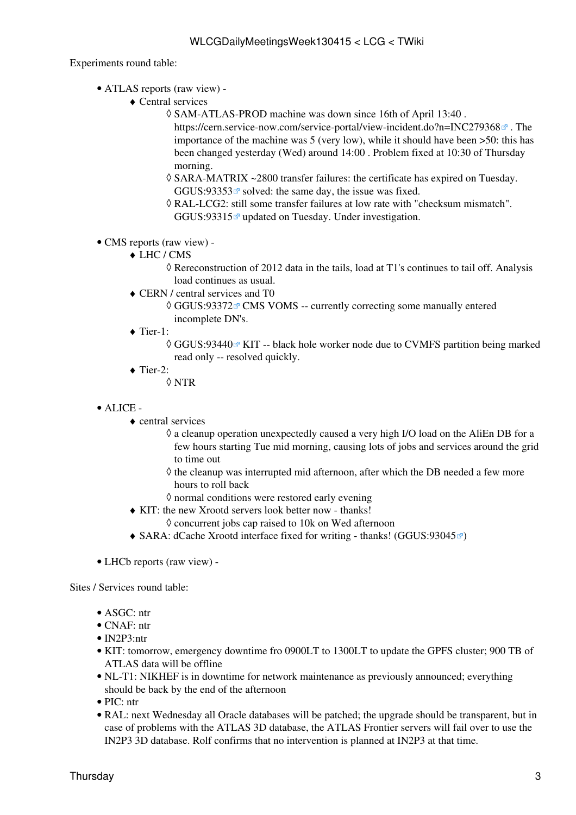Experiments round table:

- ATLAS [reports](https://twiki.cern.ch/twiki/bin/view/Atlas/ADCOperationsDailyReports2013) [\(raw view\)](https://twiki.cern.ch/twiki/bin/view/Atlas/ADCOperationsDailyReports2013?raw=on) •
	- Central services ♦
		- SAM-ATLAS-PROD machine was down since 16th of April 13:40 . ◊
			- <https://cern.service-now.com/service-portal/view-incident.do?n=INC279368> $\sigma$ . The importance of the machine was 5 (very low), while it should have been >50: this has been changed yesterday (Wed) around 14:00 . Problem fixed at 10:30 of Thursday morning.
		- SARA-MATRIX ~2800 transfer failures: the certificate has expired on Tuesday. ◊ GGUS:93353 $\sigma$  solved: the same day, the issue was fixed.
		- RAL-LCG2: still some transfer failures at low rate with "checksum mismatch". ◊ [GGUS:93315](https://ggus.eu/ws/ticket_info.php?ticket=93315) updated on Tuesday. Under investigation.
- CMS [reports](https://twiki.cern.ch/twiki/bin/view/CMS/FacOps_WLCGdailyreports) ([raw view\)](https://twiki.cern.ch/twiki/bin/view/CMS/FacOps_WLCGdailyreports?raw=on) •
	- LHC / CMS ♦
		- Rereconstruction of 2012 data in the tails, load at T1's continues to tail off. Analysis ◊ load continues as usual.
	- CERN / central services and T0 ♦
		- ◊ [GGUS:93372](https://ggus.eu/ws/ticket_info.php?ticket=93372) @ CMS [VOMS](https://twiki.cern.ch/twiki/bin/view/LCG/VOMS) -- currently correcting some manually entered incomplete DN's.
	- ◆ Tier-1:
		- © [GGUS:93440](https://ggus.eu/ws/ticket_info.php?ticket=93440) <sup>∞</sup> KIT -- black hole worker node due to CVMFS partition being marked read only -- resolved quickly.
	- $\blacklozenge$  Tier-2:

◊ NTR

- ALICE •
	- central services ♦
		- a cleanup operation unexpectedly caused a very high I/O load on the [AliEn](https://twiki.cern.ch/twiki/bin/edit/LCG/AliEn?topicparent=LCG.WLCGDailyMeetingsWeek130415;nowysiwyg=1) DB for a ◊ few hours starting Tue mid morning, causing lots of jobs and services around the grid to time out
		- $\Diamond$  the cleanup was interrupted mid afternoon, after which the DB needed a few more hours to roll back
		- $\Diamond$  normal conditions were restored early evening
	- KIT: the new Xrootd servers look better now thanks! ♦
		- $\Diamond$  concurrent jobs cap raised to 10k on Wed afternoon
	- $\triangle$  SARA: dCache Xrootd interface fixed for writing thanks! ([GGUS:93045](https://ggus.eu/ws/ticket_info.php?ticket=93045) $\textdegree$ )
- LHCb [reports](https://twiki.cern.ch/twiki/bin/view/LHCb/ProductionOperationsWLCGdailyReports) [\(raw view\)](https://twiki.cern.ch/twiki/bin/view/LHCb/ProductionOperationsWLCGdailyReports?raw=on) -

Sites / Services round table:

- ASGC: ntr
- CNAF: ntr
- IN2P3:ntr
- KIT: tomorrow, emergency downtime fro 0900LT to 1300LT to update the GPFS cluster; 900 TB of ATLAS data will be offline
- NL-T1: NIKHEF is in downtime for network maintenance as previously announced; everything should be back by the end of the afternoon
- PIC: ntr
- RAL: next Wednesday all Oracle databases will be patched; the upgrade should be transparent, but in case of problems with the ATLAS 3D database, the ATLAS Frontier servers will fail over to use the IN2P3 3D database. Rolf confirms that no intervention is planned at IN2P3 at that time.